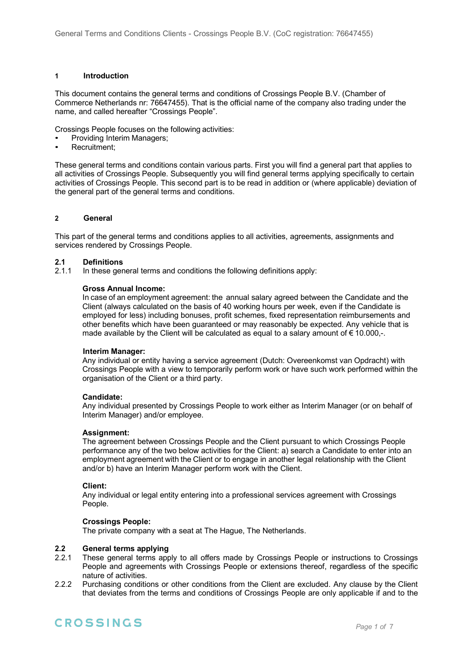#### **1 Introduction**

This document contains the general terms and conditions of Crossings People B.V. (Chamber of Commerce Netherlands nr: 76647455). That is the official name of the company also trading under the name, and called hereafter "Crossings People".

Crossings People focuses on the following activities:

- Providing Interim Managers;
- Recruitment;

These general terms and conditions contain various parts. First you will find a general part that applies to all activities of Crossings People. Subsequently you will find general terms applying specifically to certain activities of Crossings People. This second part is to be read in addition or (where applicable) deviation of the general part of the general terms and conditions.

#### **2 General**

This part of the general terms and conditions applies to all activities, agreements, assignments and services rendered by Crossings People.

#### **2.1 Definitions**

2.1.1 In these general terms and conditions the following definitions apply:

#### **Gross Annual Income:**

In case of an employment agreement: the annual salary agreed between the Candidate and the Client (always calculated on the basis of 40 working hours per week, even if the Candidate is employed for less) including bonuses, profit schemes, fixed representation reimbursements and other benefits which have been guaranteed or may reasonably be expected. Any vehicle that is made available by the Client will be calculated as equal to a salary amount of  $\epsilon$  10.000,-.

#### **Interim Manager:**

Any individual or entity having a service agreement (Dutch: Overeenkomst van Opdracht) with Crossings People with a view to temporarily perform work or have such work performed within the organisation of the Client or a third party.

#### **Candidate:**

Any individual presented by Crossings People to work either as Interim Manager (or on behalf of Interim Manager) and/or employee.

#### **Assignment:**

The agreement between Crossings People and the Client pursuant to which Crossings People performance any of the two below activities for the Client: a) search a Candidate to enter into an employment agreement with the Client or to engage in another legal relationship with the Client and/or b) have an Interim Manager perform work with the Client.

#### **Client:**

Any individual or legal entity entering into a professional services agreement with Crossings People.

#### **Crossings People:**

The private company with a seat at The Hague, The Netherlands.

#### **2.2 General terms applying**

- 2.2.1 These general terms apply to all offers made by Crossings People or instructions to Crossings People and agreements with Crossings People or extensions thereof, regardless of the specific nature of activities.
- 2.2.2 Purchasing conditions or other conditions from the Client are excluded. Any clause by the Client that deviates from the terms and conditions of Crossings People are only applicable if and to the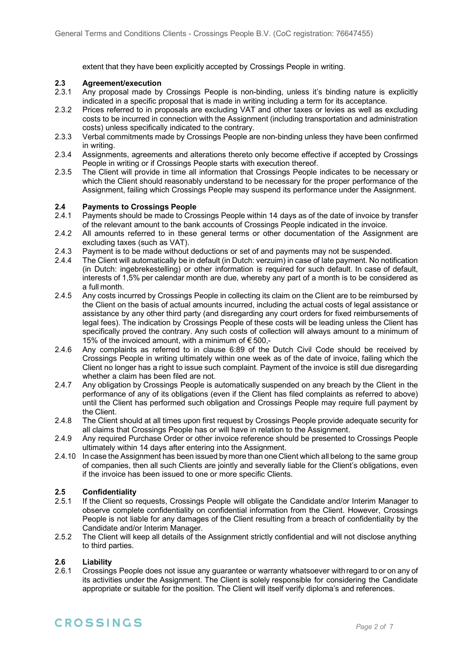extent that they have been explicitly accepted by Crossings People in writing.

# **2.3 Agreement/execution**

- Any proposal made by Crossings People is non-binding, unless it's binding nature is explicitly indicated in a specific proposal that is made in writing including a term for its acceptance.
- 2.3.2 Prices referred to in proposals are excluding VAT and other taxes or levies as well as excluding costs to be incurred in connection with the Assignment (including transportation and administration costs) unless specifically indicated to the contrary.
- 2.3.3 Verbal commitments made by Crossings People are non-binding unless they have been confirmed in writing.
- 2.3.4 Assignments, agreements and alterations thereto only become effective if accepted by Crossings People in writing or if Crossings People starts with execution thereof.
- 2.3.5 The Client will provide in time all information that Crossings People indicates to be necessary or which the Client should reasonably understand to be necessary for the proper performance of the Assignment, failing which Crossings People may suspend its performance under the Assignment.

#### **2.4 Payments to Crossings People**

- 2.4.1 Payments should be made to Crossings People within 14 days as of the date of invoice by transfer of the relevant amount to the bank accounts of Crossings People indicated in the invoice.
- 2.4.2 All amounts referred to in these general terms or other documentation of the Assignment are excluding taxes (such as VAT).
- 2.4.3 Payment is to be made without deductions or set of and payments may not be suspended.<br>2.4.4 The Client will automatically be in default (in Dutch: verzuim) in case of late payment. No noti
- 2.4.4 The Client will automatically be in default (in Dutch: verzuim) in case of late payment. No notification (in Dutch: ingebrekestelling) or other information is required for such default. In case of default, interests of 1,5% per calendar month are due, whereby any part of a month is to be considered as a full month.
- 2.4.5 Any costs incurred by Crossings People in collecting its claim on the Client are to be reimbursed by the Client on the basis of actual amounts incurred, including the actual costs of legal assistance or assistance by any other third party (and disregarding any court orders for fixed reimbursements of legal fees). The indication by Crossings People of these costs will be leading unless the Client has specifically proved the contrary. Any such costs of collection will always amount to a minimum of 15% of the invoiced amount, with a minimum of  $\epsilon$  500,-
- 2.4.6 Any complaints as referred to in clause 6:89 of the Dutch Civil Code should be received by Crossings People in writing ultimately within one week as of the date of invoice, failing which the Client no longer has a right to issue such complaint. Payment of the invoice is still due disregarding whether a claim has been filed are not.
- 2.4.7 Any obligation by Crossings People is automatically suspended on any breach by the Client in the performance of any of its obligations (even if the Client has filed complaints as referred to above) until the Client has performed such obligation and Crossings People may require full payment by the Client.
- 2.4.8 The Client should at all times upon first request by Crossings People provide adequate security for all claims that Crossings People has or will have in relation to the Assignment.
- 2.4.9 Any required Purchase Order or other invoice reference should be presented to Crossings People ultimately within 14 days after entering into the Assignment.
- 2.4.10 In case the Assignment has been issued by more than one Client which all belong to the same group of companies, then all such Clients are jointly and severally liable for the Client's obligations, even if the invoice has been issued to one or more specific Clients.

#### **2.5 Confidentiality**

- 2.5.1 If the Client so requests, Crossings People will obligate the Candidate and/or Interim Manager to observe complete confidentiality on confidential information from the Client. However, Crossings People is not liable for any damages of the Client resulting from a breach of confidentiality by the Candidate and/or Interim Manager.
- 2.5.2 The Client will keep all details of the Assignment strictly confidential and will not disclose anything to third parties.

#### **2.6 Liability**

2.6.1 Crossings People does not issue any guarantee or warranty whatsoever withregard to or on any of its activities under the Assignment. The Client is solely responsible for considering the Candidate appropriate or suitable for the position. The Client will itself verify diploma's and references.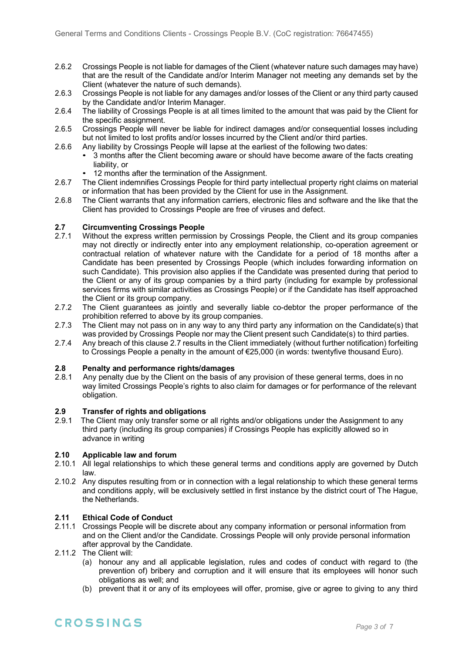- 2.6.2 Crossings People is not liable for damages of the Client (whatever nature such damages may have) that are the result of the Candidate and/or Interim Manager not meeting any demands set by the Client (whatever the nature of such demands).
- 2.6.3 Crossings People is not liable for any damages and/or losses of the Client or any third party caused by the Candidate and/or Interim Manager.
- 2.6.4 The liability of Crossings People is at all times limited to the amount that was paid by the Client for the specific assignment.
- 2.6.5 Crossings People will never be liable for indirect damages and/or consequential losses including but not limited to lost profits and/or losses incurred by the Client and/or third parties.
- 2.6.6 Any liability by Crossings People will lapse at the earliest of the following two dates:
	- 3 months after the Client becoming aware or should have become aware of the facts creating liability, or
	- 12 months after the termination of the Assignment.
- 2.6.7 The Client indemnifies Crossings People for third party intellectual property right claims on material or information that has been provided by the Client for use in the Assignment.
- 2.6.8 The Client warrants that any information carriers, electronic files and software and the like that the Client has provided to Crossings People are free of viruses and defect.

# **2.7 Circumventing Crossings People**

- Without the express written permission by Crossings People, the Client and its group companies may not directly or indirectly enter into any employment relationship, co-operation agreement or contractual relation of whatever nature with the Candidate for a period of 18 months after a Candidate has been presented by Crossings People (which includes forwarding information on such Candidate). This provision also applies if the Candidate was presented during that period to the Client or any of its group companies by a third party (including for example by professional services firms with similar activities as Crossings People) or if the Candidate has itself approached the Client or its group company.
- 2.7.2 The Client guarantees as jointly and severally liable co-debtor the proper performance of the prohibition referred to above by its group companies.
- 2.7.3 The Client may not pass on in any way to any third party any information on the Candidate(s) that was provided by Crossings People nor may the Client present such Candidate(s) to third parties.
- 2.7.4 Any breach of this clause 2.7 results in the Client immediately (without further notification) forfeiting to Crossings People a penalty in the amount of €25,000 (in words: twentyfive thousand Euro).

# **2.8 Penalty and performance rights/damages**

Any penalty due by the Client on the basis of any provision of these general terms, does in no way limited Crossings People's rights to also claim for damages or for performance of the relevant obligation.

#### **2.9 Transfer of rights and obligations**

2.9.1 The Client may only transfer some or all rights and/or obligations under the Assignment to any third party (including its group companies) if Crossings People has explicitly allowed so in advance in writing

#### **2.10 Applicable law and forum**

- 2.10.1 All legal relationships to which these general terms and conditions apply are governed by Dutch law.
- 2.10.2 Any disputes resulting from or in connection with a legal relationship to which these general terms and conditions apply, will be exclusively settled in first instance by the district court of The Hague, the Netherlands.

#### **2.11 Ethical Code of Conduct**

- 2.11.1 Crossings People will be discrete about any company information or personal information from and on the Client and/or the Candidate. Crossings People will only provide personal information after approval by the Candidate.
- 2.11.2 The Client will:
	- (a) honour any and all applicable legislation, rules and codes of conduct with regard to (the prevention of) bribery and corruption and it will ensure that its employees will honor such obligations as well; and
	- (b) prevent that it or any of its employees will offer, promise, give or agree to giving to any third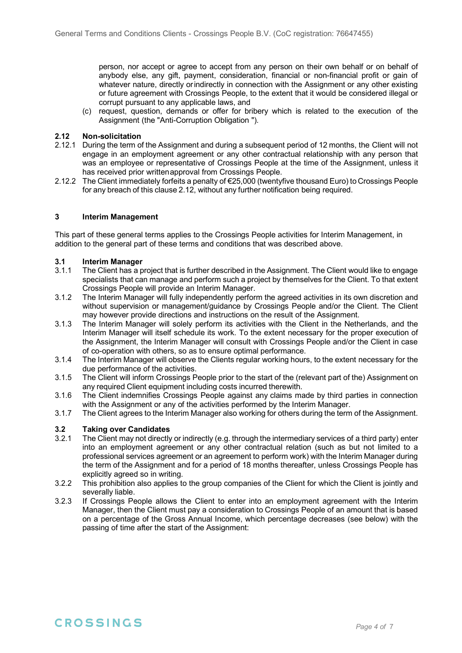person, nor accept or agree to accept from any person on their own behalf or on behalf of anybody else, any gift, payment, consideration, financial or non-financial profit or gain of whatever nature, directly orindirectly in connection with the Assignment or any other existing or future agreement with Crossings People, to the extent that it would be considered illegal or corrupt pursuant to any applicable laws, and

(c) request, question, demands or offer for bribery which is related to the execution of the Assignment (the "Anti-Corruption Obligation ").

#### **2.12 Non-solicitation**

- 2.12.1 During the term of the Assignment and during a subsequent period of 12 months, the Client will not engage in an employment agreement or any other contractual relationship with any person that was an employee or representative of Crossings People at the time of the Assignment, unless it has received prior writtenapproval from Crossings People.
- 2.12.2 The Client immediately forfeits a penalty of €25,000 (twentyfive thousand Euro) to Crossings People for any breach of this clause 2.12, without any further notification being required.

#### **3 Interim Management**

This part of these general terms applies to the Crossings People activities for Interim Management, in addition to the general part of these terms and conditions that was described above.

#### **3.1 Interim Manager**

- 3.1.1 The Client has a project that is further described in the Assignment. The Client would like to engage specialists that can manage and perform such a project by themselves for the Client. To that extent Crossings People will provide an Interim Manager.
- 3.1.2 The Interim Manager will fully independently perform the agreed activities in its own discretion and without supervision or management/guidance by Crossings People and/or the Client. The Client may however provide directions and instructions on the result of the Assignment.
- 3.1.3 The Interim Manager will solely perform its activities with the Client in the Netherlands, and the Interim Manager will itself schedule its work. To the extent necessary for the proper execution of the Assignment, the Interim Manager will consult with Crossings People and/or the Client in case of co-operation with others, so as to ensure optimal performance.
- 3.1.4 The Interim Manager will observe the Clients regular working hours, to the extent necessary for the due performance of the activities.
- 3.1.5 The Client will inform Crossings People prior to the start of the (relevant part of the) Assignment on any required Client equipment including costs incurred therewith.
- 3.1.6 The Client indemnifies Crossings People against any claims made by third parties in connection with the Assignment or any of the activities performed by the Interim Manager.
- 3.1.7 The Client agrees to the Interim Manager also working for others during the term of the Assignment.

#### **3.2 Taking over Candidates**

- 3.2.1 The Client may not directly or indirectly (e.g. through the intermediary services of a third party) enter into an employment agreement or any other contractual relation (such as but not limited to a professional services agreement or an agreement to perform work) with the Interim Manager during the term of the Assignment and for a period of 18 months thereafter, unless Crossings People has explicitly agreed so in writing.
- 3.2.2 This prohibition also applies to the group companies of the Client for which the Client is jointly and severally liable.
- 3.2.3 If Crossings People allows the Client to enter into an employment agreement with the Interim Manager, then the Client must pay a consideration to Crossings People of an amount that is based on a percentage of the Gross Annual Income, which percentage decreases (see below) with the passing of time after the start of the Assignment: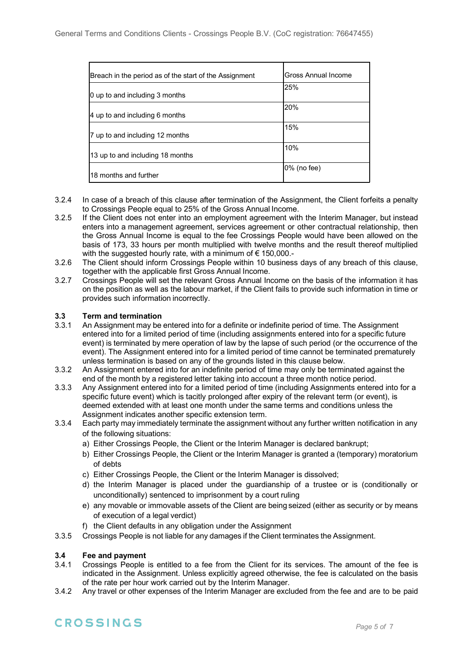| Breach in the period as of the start of the Assignment | Gross Annual Income |
|--------------------------------------------------------|---------------------|
| 0 up to and including 3 months                         | 25%                 |
| 4 up to and including 6 months                         | 20%                 |
| 7 up to and including 12 months                        | 15%                 |
| 13 up to and including 18 months                       | 10%                 |
| 18 months and further                                  | 0% (no fee)         |

- 3.2.4 In case of a breach of this clause after termination of the Assignment, the Client forfeits a penalty to Crossings People equal to 25% of the Gross Annual Income.
- 3.2.5 If the Client does not enter into an employment agreement with the Interim Manager, but instead enters into a management agreement, services agreement or other contractual relationship, then the Gross Annual Income is equal to the fee Crossings People would have been allowed on the basis of 173, 33 hours per month multiplied with twelve months and the result thereof multiplied with the suggested hourly rate, with a minimum of € 150,000.-
- 3.2.6 The Client should inform Crossings People within 10 business days of any breach of this clause, together with the applicable first Gross Annual Income.
- 3.2.7 Crossings People will set the relevant Gross Annual Income on the basis of the information it has on the position as well as the labour market, if the Client fails to provide such information in time or provides such information incorrectly.

#### **3.3 Term and termination**

- 3.3.1 An Assignment may be entered into for a definite or indefinite period of time. The Assignment entered into for a limited period of time (including assignments entered into for a specific future event) is terminated by mere operation of law by the lapse of such period (or the occurrence of the event). The Assignment entered into for a limited period of time cannot be terminated prematurely unless termination is based on any of the grounds listed in this clause below.
- 3.3.2 An Assignment entered into for an indefinite period of time may only be terminated against the end of the month by a registered letter taking into account a three month notice period.
- 3.3.3 Any Assignment entered into for a limited period of time (including Assignments entered into for a specific future event) which is tacitly prolonged after expiry of the relevant term (or event), is deemed extended with at least one month under the same terms and conditions unless the Assignment indicates another specific extension term.
- 3.3.4 Each party may immediately terminate the assignment without any further written notification in any of the following situations:
	- a) Either Crossings People, the Client or the Interim Manager is declared bankrupt;
	- b) Either Crossings People, the Client or the Interim Manager is granted a (temporary) moratorium of debts
	- c) Either Crossings People, the Client or the Interim Manager is dissolved;
	- d) the Interim Manager is placed under the guardianship of a trustee or is (conditionally or unconditionally) sentenced to imprisonment by a court ruling
	- e) any movable or immovable assets of the Client are being seized (either as security or by means of execution of a legal verdict)
	- f) the Client defaults in any obligation under the Assignment
- 3.3.5 Crossings People is not liable for any damages if the Client terminates the Assignment.

#### **3.4 Fee and payment**

- 3.4.1 Crossings People is entitled to a fee from the Client for its services. The amount of the fee is indicated in the Assignment. Unless explicitly agreed otherwise, the fee is calculated on the basis of the rate per hour work carried out by the Interim Manager.
- 3.4.2 Any travel or other expenses of the Interim Manager are excluded from the fee and are to be paid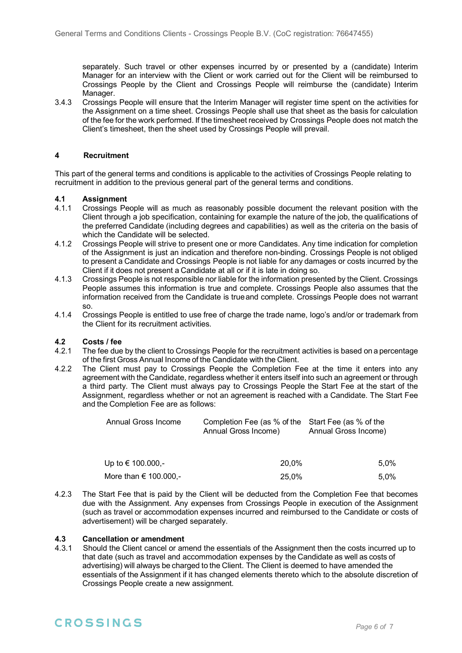separately. Such travel or other expenses incurred by or presented by a (candidate) Interim Manager for an interview with the Client or work carried out for the Client will be reimbursed to Crossings People by the Client and Crossings People will reimburse the (candidate) Interim Manager.

3.4.3 Crossings People will ensure that the Interim Manager will register time spent on the activities for the Assignment on a time sheet. Crossings People shall use that sheet as the basis for calculation of the fee for the work performed. If the timesheet received by Crossings People does not match the Client's timesheet, then the sheet used by Crossings People will prevail.

#### **4 Recruitment**

This part of the general terms and conditions is applicable to the activities of Crossings People relating to recruitment in addition to the previous general part of the general terms and conditions.

# **4.1 Assignment**

- 4.1.1 Crossings People will as much as reasonably possible document the relevant position with the Client through a job specification, containing for example the nature of the job, the qualifications of the preferred Candidate (including degrees and capabilities) as well as the criteria on the basis of which the Candidate will be selected.
- 4.1.2 Crossings People will strive to present one or more Candidates. Any time indication for completion of the Assignment is just an indication and therefore non-binding. Crossings People is not obliged to present a Candidate and Crossings People is not liable for any damages or costs incurred by the Client if it does not present a Candidate at all or if it is late in doing so.
- 4.1.3 Crossings People is not responsible nor liable for the information presented by the Client. Crossings People assumes this information is true and complete. Crossings People also assumes that the information received from the Candidate is trueand complete. Crossings People does not warrant so.
- 4.1.4 Crossings People is entitled to use free of charge the trade name, logo's and/or or trademark from the Client for its recruitment activities.

#### **4.2 Costs / fee**

- 4.2.1 The fee due by the client to Crossings People for the recruitment activities is based on a percentage of the first Gross Annual Income of the Candidate with the Client.
- 4.2.2 The Client must pay to Crossings People the Completion Fee at the time it enters into any agreement with the Candidate, regardless whether it enters itself into such an agreement or through a third party. The Client must always pay to Crossings People the Start Fee at the start of the Assignment, regardless whether or not an agreement is reached with a Candidate. The Start Fee and the Completion Fee are as follows:

| Annual Gross Income | Completion Fee (as % of the Start Fee (as % of the |                      |
|---------------------|----------------------------------------------------|----------------------|
|                     | Annual Gross Income)                               | Annual Gross Income) |

| Up to € 100.000,-         | 20.0% | $5.0\%$ |
|---------------------------|-------|---------|
| More than $\in$ 100.000,- | 25.0% | $5.0\%$ |

4.2.3 The Start Fee that is paid by the Client will be deducted from the Completion Fee that becomes due with the Assignment. Any expenses from Crossings People in execution of the Assignment (such as travel or accommodation expenses incurred and reimbursed to the Candidate or costs of advertisement) will be charged separately.

# **4.3 Cancellation or amendment**

Should the Client cancel or amend the essentials of the Assignment then the costs incurred up to that date (such as travel and accommodation expenses by the Candidate as well as costs of advertising) will always be charged to the Client. The Client is deemed to have amended the essentials of the Assignment if it has changed elements thereto which to the absolute discretion of Crossings People create a new assignment.